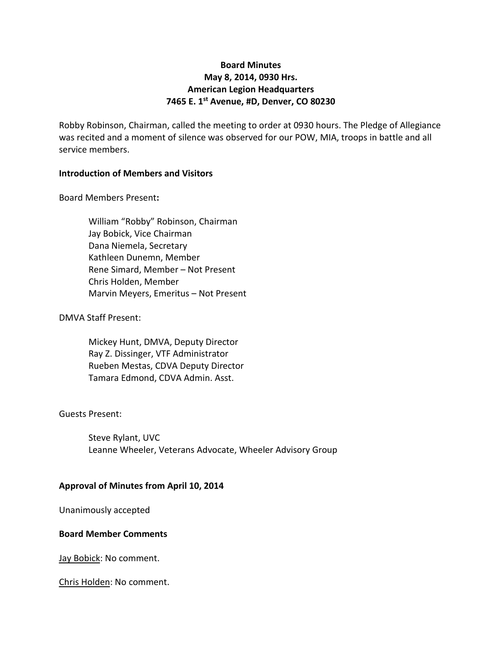# **Board Minutes May 8, 2014, 0930 Hrs. American Legion Headquarters 7465 E. 1st Avenue, #D, Denver, CO 80230**

Robby Robinson, Chairman, called the meeting to order at 0930 hours. The Pledge of Allegiance was recited and a moment of silence was observed for our POW, MIA, troops in battle and all service members.

# **Introduction of Members and Visitors**

Board Members Present**:**

William "Robby" Robinson, Chairman Jay Bobick, Vice Chairman Dana Niemela, Secretary Kathleen Dunemn, Member Rene Simard, Member – Not Present Chris Holden, Member Marvin Meyers, Emeritus – Not Present

# DMVA Staff Present:

Mickey Hunt, DMVA, Deputy Director Ray Z. Dissinger, VTF Administrator Rueben Mestas, CDVA Deputy Director Tamara Edmond, CDVA Admin. Asst.

#### Guests Present:

Steve Rylant, UVC Leanne Wheeler, Veterans Advocate, Wheeler Advisory Group

#### **Approval of Minutes from April 10, 2014**

Unanimously accepted

#### **Board Member Comments**

Jay Bobick: No comment.

Chris Holden: No comment.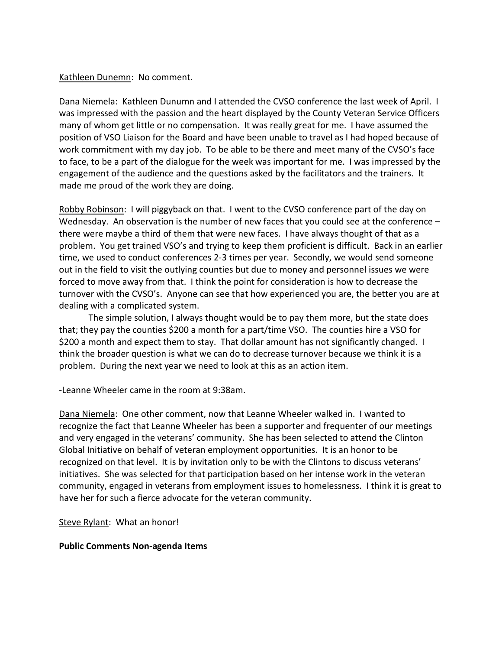## Kathleen Dunemn: No comment.

Dana Niemela: Kathleen Dunumn and I attended the CVSO conference the last week of April. I was impressed with the passion and the heart displayed by the County Veteran Service Officers many of whom get little or no compensation. It was really great for me. I have assumed the position of VSO Liaison for the Board and have been unable to travel as I had hoped because of work commitment with my day job. To be able to be there and meet many of the CVSO's face to face, to be a part of the dialogue for the week was important for me. I was impressed by the engagement of the audience and the questions asked by the facilitators and the trainers. It made me proud of the work they are doing.

Robby Robinson: I will piggyback on that. I went to the CVSO conference part of the day on Wednesday. An observation is the number of new faces that you could see at the conference – there were maybe a third of them that were new faces. I have always thought of that as a problem. You get trained VSO's and trying to keep them proficient is difficult. Back in an earlier time, we used to conduct conferences 2-3 times per year. Secondly, we would send someone out in the field to visit the outlying counties but due to money and personnel issues we were forced to move away from that. I think the point for consideration is how to decrease the turnover with the CVSO's. Anyone can see that how experienced you are, the better you are at dealing with a complicated system.

The simple solution, I always thought would be to pay them more, but the state does that; they pay the counties \$200 a month for a part/time VSO. The counties hire a VSO for \$200 a month and expect them to stay. That dollar amount has not significantly changed. I think the broader question is what we can do to decrease turnover because we think it is a problem. During the next year we need to look at this as an action item.

-Leanne Wheeler came in the room at 9:38am.

Dana Niemela: One other comment, now that Leanne Wheeler walked in. I wanted to recognize the fact that Leanne Wheeler has been a supporter and frequenter of our meetings and very engaged in the veterans' community. She has been selected to attend the Clinton Global Initiative on behalf of veteran employment opportunities. It is an honor to be recognized on that level. It is by invitation only to be with the Clintons to discuss veterans' initiatives. She was selected for that participation based on her intense work in the veteran community, engaged in veterans from employment issues to homelessness. I think it is great to have her for such a fierce advocate for the veteran community.

Steve Rylant: What an honor!

#### **Public Comments Non-agenda Items**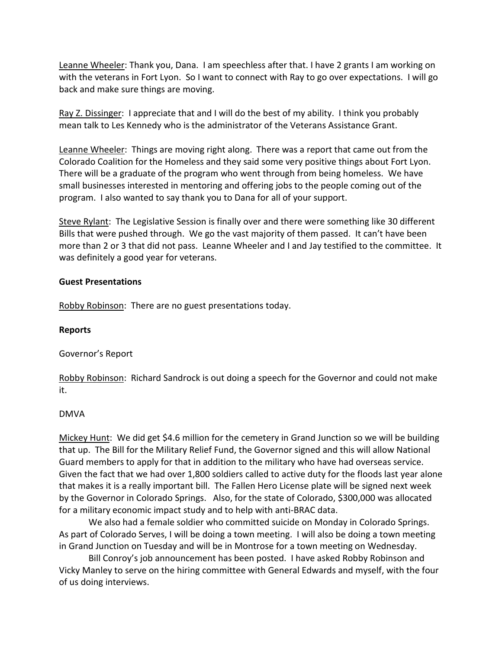Leanne Wheeler: Thank you, Dana. I am speechless after that. I have 2 grants I am working on with the veterans in Fort Lyon. So I want to connect with Ray to go over expectations. I will go back and make sure things are moving.

Ray Z. Dissinger: I appreciate that and I will do the best of my ability. I think you probably mean talk to Les Kennedy who is the administrator of the Veterans Assistance Grant.

Leanne Wheeler: Things are moving right along. There was a report that came out from the Colorado Coalition for the Homeless and they said some very positive things about Fort Lyon. There will be a graduate of the program who went through from being homeless. We have small businesses interested in mentoring and offering jobs to the people coming out of the program. I also wanted to say thank you to Dana for all of your support.

Steve Rylant: The Legislative Session is finally over and there were something like 30 different Bills that were pushed through. We go the vast majority of them passed. It can't have been more than 2 or 3 that did not pass. Leanne Wheeler and I and Jay testified to the committee. It was definitely a good year for veterans.

# **Guest Presentations**

Robby Robinson: There are no guest presentations today.

# **Reports**

Governor's Report

Robby Robinson: Richard Sandrock is out doing a speech for the Governor and could not make it.

# DMVA

Mickey Hunt: We did get \$4.6 million for the cemetery in Grand Junction so we will be building that up. The Bill for the Military Relief Fund, the Governor signed and this will allow National Guard members to apply for that in addition to the military who have had overseas service. Given the fact that we had over 1,800 soldiers called to active duty for the floods last year alone that makes it is a really important bill. The Fallen Hero License plate will be signed next week by the Governor in Colorado Springs. Also, for the state of Colorado, \$300,000 was allocated for a military economic impact study and to help with anti-BRAC data.

We also had a female soldier who committed suicide on Monday in Colorado Springs. As part of Colorado Serves, I will be doing a town meeting. I will also be doing a town meeting in Grand Junction on Tuesday and will be in Montrose for a town meeting on Wednesday.

Bill Conroy's job announcement has been posted. I have asked Robby Robinson and Vicky Manley to serve on the hiring committee with General Edwards and myself, with the four of us doing interviews.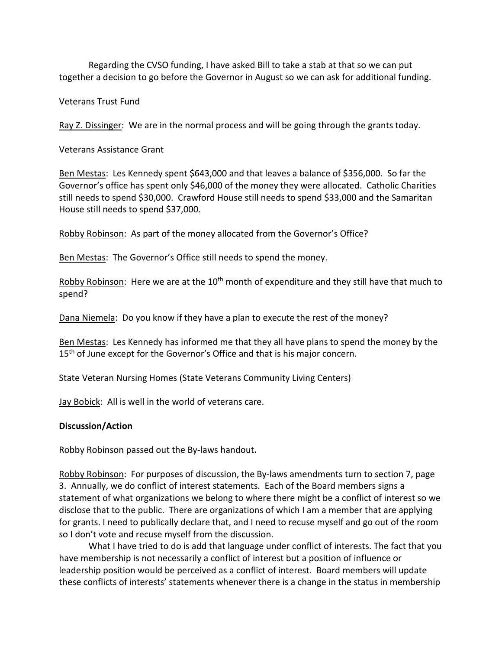Regarding the CVSO funding, I have asked Bill to take a stab at that so we can put together a decision to go before the Governor in August so we can ask for additional funding.

Veterans Trust Fund

Ray Z. Dissinger: We are in the normal process and will be going through the grants today.

Veterans Assistance Grant

Ben Mestas: Les Kennedy spent \$643,000 and that leaves a balance of \$356,000. So far the Governor's office has spent only \$46,000 of the money they were allocated. Catholic Charities still needs to spend \$30,000. Crawford House still needs to spend \$33,000 and the Samaritan House still needs to spend \$37,000.

Robby Robinson: As part of the money allocated from the Governor's Office?

Ben Mestas: The Governor's Office still needs to spend the money.

Robby Robinson: Here we are at the  $10<sup>th</sup>$  month of expenditure and they still have that much to spend?

Dana Niemela: Do you know if they have a plan to execute the rest of the money?

Ben Mestas: Les Kennedy has informed me that they all have plans to spend the money by the 15<sup>th</sup> of June except for the Governor's Office and that is his major concern.

State Veteran Nursing Homes (State Veterans Community Living Centers)

Jay Bobick: All is well in the world of veterans care.

#### **Discussion/Action**

Robby Robinson passed out the By-laws handout**.**

Robby Robinson: For purposes of discussion, the By-laws amendments turn to section 7, page 3. Annually, we do conflict of interest statements. Each of the Board members signs a statement of what organizations we belong to where there might be a conflict of interest so we disclose that to the public. There are organizations of which I am a member that are applying for grants. I need to publically declare that, and I need to recuse myself and go out of the room so I don't vote and recuse myself from the discussion.

What I have tried to do is add that language under conflict of interests. The fact that you have membership is not necessarily a conflict of interest but a position of influence or leadership position would be perceived as a conflict of interest. Board members will update these conflicts of interests' statements whenever there is a change in the status in membership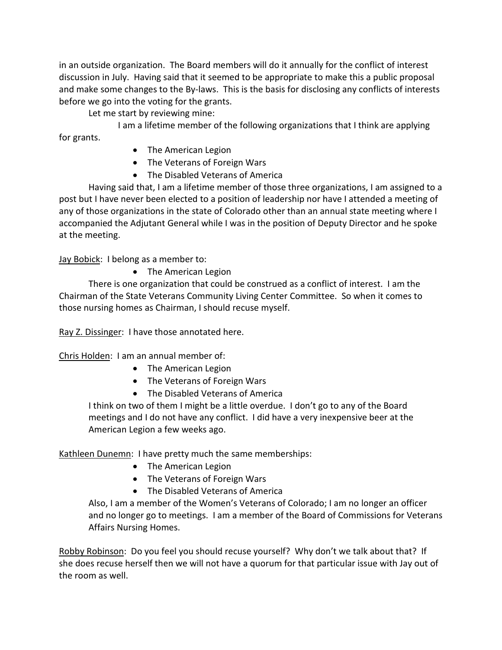in an outside organization. The Board members will do it annually for the conflict of interest discussion in July. Having said that it seemed to be appropriate to make this a public proposal and make some changes to the By-laws. This is the basis for disclosing any conflicts of interests before we go into the voting for the grants.

Let me start by reviewing mine:

I am a lifetime member of the following organizations that I think are applying for grants.

- The American Legion
- The Veterans of Foreign Wars
- The Disabled Veterans of America

Having said that, I am a lifetime member of those three organizations, I am assigned to a post but I have never been elected to a position of leadership nor have I attended a meeting of any of those organizations in the state of Colorado other than an annual state meeting where I accompanied the Adjutant General while I was in the position of Deputy Director and he spoke at the meeting.

Jay Bobick: I belong as a member to:

• The American Legion

There is one organization that could be construed as a conflict of interest. I am the Chairman of the State Veterans Community Living Center Committee. So when it comes to those nursing homes as Chairman, I should recuse myself.

Ray Z. Dissinger: I have those annotated here.

Chris Holden: I am an annual member of:

- The American Legion
- The Veterans of Foreign Wars
- The Disabled Veterans of America

I think on two of them I might be a little overdue. I don't go to any of the Board meetings and I do not have any conflict. I did have a very inexpensive beer at the American Legion a few weeks ago.

Kathleen Dunemn: I have pretty much the same memberships:

- The American Legion
- The Veterans of Foreign Wars
- The Disabled Veterans of America

Also, I am a member of the Women's Veterans of Colorado; I am no longer an officer and no longer go to meetings. I am a member of the Board of Commissions for Veterans Affairs Nursing Homes.

Robby Robinson: Do you feel you should recuse yourself? Why don't we talk about that? If she does recuse herself then we will not have a quorum for that particular issue with Jay out of the room as well.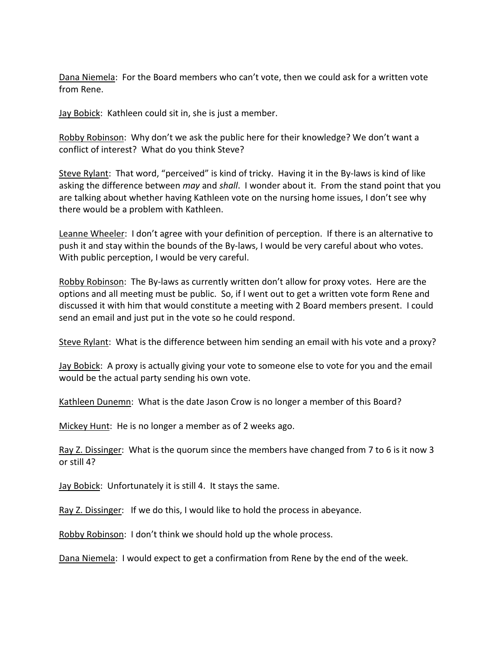Dana Niemela: For the Board members who can't vote, then we could ask for a written vote from Rene.

Jay Bobick: Kathleen could sit in, she is just a member.

Robby Robinson: Why don't we ask the public here for their knowledge? We don't want a conflict of interest? What do you think Steve?

Steve Rylant: That word, "perceived" is kind of tricky. Having it in the By-laws is kind of like asking the difference between *may* and *shall*. I wonder about it. From the stand point that you are talking about whether having Kathleen vote on the nursing home issues, I don't see why there would be a problem with Kathleen.

Leanne Wheeler: I don't agree with your definition of perception. If there is an alternative to push it and stay within the bounds of the By-laws, I would be very careful about who votes. With public perception, I would be very careful.

Robby Robinson: The By-laws as currently written don't allow for proxy votes. Here are the options and all meeting must be public. So, if I went out to get a written vote form Rene and discussed it with him that would constitute a meeting with 2 Board members present. I could send an email and just put in the vote so he could respond.

Steve Rylant: What is the difference between him sending an email with his vote and a proxy?

**Jay Bobick:** A proxy is actually giving your vote to someone else to vote for you and the email would be the actual party sending his own vote.

Kathleen Dunemn: What is the date Jason Crow is no longer a member of this Board?

Mickey Hunt: He is no longer a member as of 2 weeks ago.

Ray Z. Dissinger: What is the quorum since the members have changed from 7 to 6 is it now 3 or still 4?

Jay Bobick: Unfortunately it is still 4. It stays the same.

Ray Z. Dissinger: If we do this, I would like to hold the process in abeyance.

Robby Robinson: I don't think we should hold up the whole process.

Dana Niemela: I would expect to get a confirmation from Rene by the end of the week.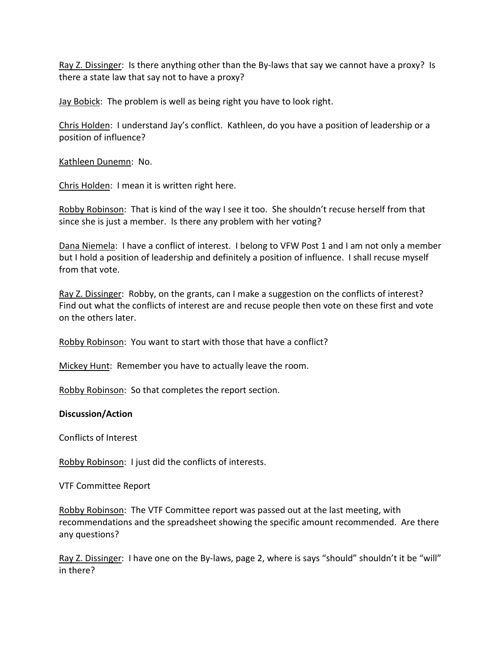Ray Z. Dissinger: Is there anything other than the By-laws that say we cannot have a proxy? Is there a state law that say not to have a proxy?

Jay Bobick: The problem is well as being right you have to look right.

Chris Holden: I understand Jay's conflict. Kathleen, do you have a position of leadership or a position of influence?

Kathleen Dunemn: No.

Chris Holden: I mean it is written right here.

Robby Robinson: That is kind of the way I see it too. She shouldn't recuse herself from that since she is just a member. Is there any problem with her voting?

Dana Niemela: I have a conflict of interest. I belong to VFW Post 1 and I am not only a member but I hold a position of leadership and definitely a position of influence. I shall recuse myself from that vote.

Ray Z. Dissinger: Robby, on the grants, can I make a suggestion on the conflicts of interest? Find out what the conflicts of interest are and recuse people then vote on these first and vote on the others later.

Robby Robinson: You want to start with those that have a conflict?

Mickey Hunt: Remember you have to actually leave the room.

Robby Robinson: So that completes the report section.

# **Discussion/Action**

Conflicts of Interest

Robby Robinson: I just did the conflicts of interests.

VTF Committee Report

Robby Robinson: The VTF Committee report was passed out at the last meeting, with recommendations and the spreadsheet showing the specific amount recommended. Are there any questions?

Ray Z. Dissinger: I have one on the By-laws, page 2, where is says "should" shouldn't it be "will" in there?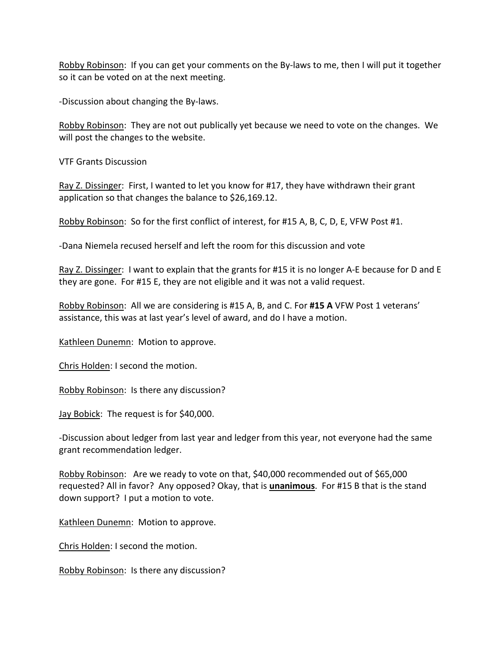Robby Robinson: If you can get your comments on the By-laws to me, then I will put it together so it can be voted on at the next meeting.

-Discussion about changing the By-laws.

Robby Robinson: They are not out publically yet because we need to vote on the changes. We will post the changes to the website.

VTF Grants Discussion

Ray Z. Dissinger: First, I wanted to let you know for #17, they have withdrawn their grant application so that changes the balance to \$26,169.12.

Robby Robinson: So for the first conflict of interest, for #15 A, B, C, D, E, VFW Post #1.

-Dana Niemela recused herself and left the room for this discussion and vote

Ray Z. Dissinger: I want to explain that the grants for #15 it is no longer A-E because for D and E they are gone. For #15 E, they are not eligible and it was not a valid request.

Robby Robinson: All we are considering is #15 A, B, and C. For **#15 A** VFW Post 1 veterans' assistance, this was at last year's level of award, and do I have a motion.

Kathleen Dunemn: Motion to approve.

Chris Holden: I second the motion.

Robby Robinson: Is there any discussion?

Jay Bobick: The request is for \$40,000.

-Discussion about ledger from last year and ledger from this year, not everyone had the same grant recommendation ledger.

Robby Robinson: Are we ready to vote on that, \$40,000 recommended out of \$65,000 requested? All in favor? Any opposed? Okay, that is **unanimous**. For #15 B that is the stand down support? I put a motion to vote.

Kathleen Dunemn: Motion to approve.

Chris Holden: I second the motion.

Robby Robinson: Is there any discussion?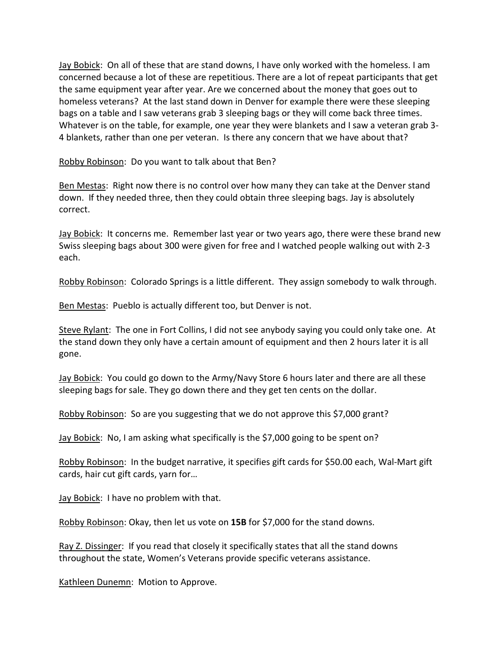Jay Bobick: On all of these that are stand downs, I have only worked with the homeless. I am concerned because a lot of these are repetitious. There are a lot of repeat participants that get the same equipment year after year. Are we concerned about the money that goes out to homeless veterans? At the last stand down in Denver for example there were these sleeping bags on a table and I saw veterans grab 3 sleeping bags or they will come back three times. Whatever is on the table, for example, one year they were blankets and I saw a veteran grab 3- 4 blankets, rather than one per veteran. Is there any concern that we have about that?

Robby Robinson: Do you want to talk about that Ben?

Ben Mestas: Right now there is no control over how many they can take at the Denver stand down. If they needed three, then they could obtain three sleeping bags. Jay is absolutely correct.

Jay Bobick: It concerns me. Remember last year or two years ago, there were these brand new Swiss sleeping bags about 300 were given for free and I watched people walking out with 2-3 each.

Robby Robinson: Colorado Springs is a little different. They assign somebody to walk through.

Ben Mestas: Pueblo is actually different too, but Denver is not.

Steve Rylant: The one in Fort Collins, I did not see anybody saying you could only take one. At the stand down they only have a certain amount of equipment and then 2 hours later it is all gone.

Jay Bobick: You could go down to the Army/Navy Store 6 hours later and there are all these sleeping bags for sale. They go down there and they get ten cents on the dollar.

Robby Robinson: So are you suggesting that we do not approve this \$7,000 grant?

Jay Bobick: No, I am asking what specifically is the \$7,000 going to be spent on?

Robby Robinson: In the budget narrative, it specifies gift cards for \$50.00 each, Wal-Mart gift cards, hair cut gift cards, yarn for…

Jay Bobick: I have no problem with that.

Robby Robinson: Okay, then let us vote on **15B** for \$7,000 for the stand downs.

Ray Z. Dissinger: If you read that closely it specifically states that all the stand downs throughout the state, Women's Veterans provide specific veterans assistance.

Kathleen Dunemn: Motion to Approve.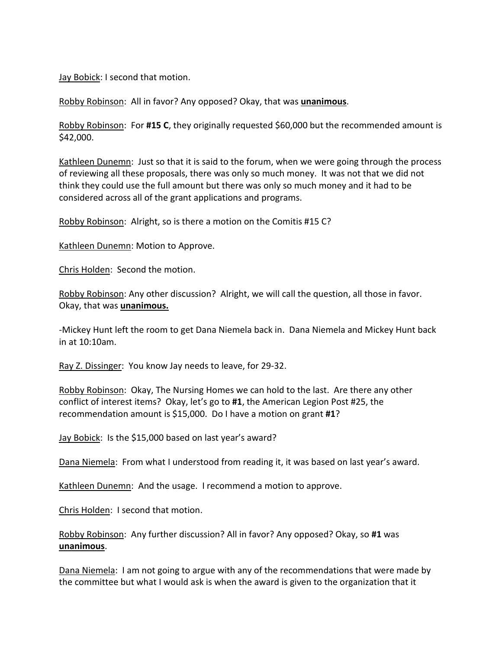Jay Bobick: I second that motion.

Robby Robinson: All in favor? Any opposed? Okay, that was **unanimous**.

Robby Robinson: For **#15 C**, they originally requested \$60,000 but the recommended amount is \$42,000.

Kathleen Dunemn: Just so that it is said to the forum, when we were going through the process of reviewing all these proposals, there was only so much money. It was not that we did not think they could use the full amount but there was only so much money and it had to be considered across all of the grant applications and programs.

Robby Robinson: Alright, so is there a motion on the Comitis #15 C?

Kathleen Dunemn: Motion to Approve.

Chris Holden: Second the motion.

Robby Robinson: Any other discussion? Alright, we will call the question, all those in favor. Okay, that was **unanimous.**

-Mickey Hunt left the room to get Dana Niemela back in. Dana Niemela and Mickey Hunt back in at 10:10am.

Ray Z. Dissinger: You know Jay needs to leave, for 29-32.

Robby Robinson: Okay, The Nursing Homes we can hold to the last. Are there any other conflict of interest items? Okay, let's go to **#1**, the American Legion Post #25, the recommendation amount is \$15,000. Do I have a motion on grant **#1**?

Jay Bobick: Is the \$15,000 based on last year's award?

Dana Niemela: From what I understood from reading it, it was based on last year's award.

Kathleen Dunemn: And the usage. I recommend a motion to approve.

Chris Holden: I second that motion.

Robby Robinson: Any further discussion? All in favor? Any opposed? Okay, so **#1** was **unanimous**.

Dana Niemela: I am not going to argue with any of the recommendations that were made by the committee but what I would ask is when the award is given to the organization that it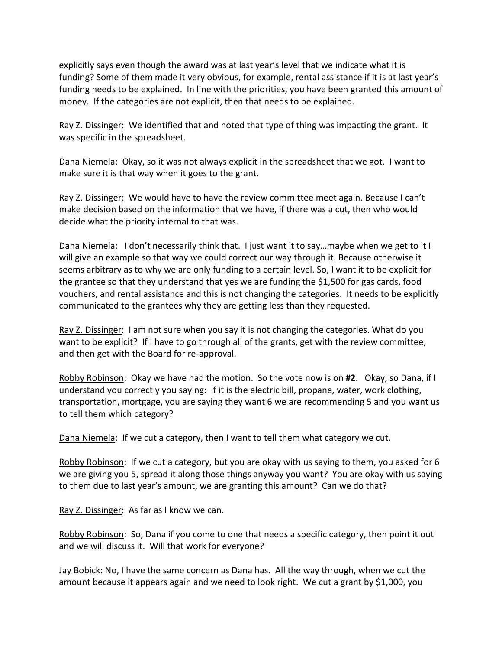explicitly says even though the award was at last year's level that we indicate what it is funding? Some of them made it very obvious, for example, rental assistance if it is at last year's funding needs to be explained. In line with the priorities, you have been granted this amount of money. If the categories are not explicit, then that needs to be explained.

Ray Z. Dissinger: We identified that and noted that type of thing was impacting the grant. It was specific in the spreadsheet.

Dana Niemela: Okay, so it was not always explicit in the spreadsheet that we got. I want to make sure it is that way when it goes to the grant.

Ray Z. Dissinger: We would have to have the review committee meet again. Because I can't make decision based on the information that we have, if there was a cut, then who would decide what the priority internal to that was.

Dana Niemela: I don't necessarily think that. I just want it to say...maybe when we get to it I will give an example so that way we could correct our way through it. Because otherwise it seems arbitrary as to why we are only funding to a certain level. So, I want it to be explicit for the grantee so that they understand that yes we are funding the \$1,500 for gas cards, food vouchers, and rental assistance and this is not changing the categories. It needs to be explicitly communicated to the grantees why they are getting less than they requested.

Ray Z. Dissinger: I am not sure when you say it is not changing the categories. What do you want to be explicit? If I have to go through all of the grants, get with the review committee, and then get with the Board for re-approval.

Robby Robinson: Okay we have had the motion. So the vote now is on **#2**. Okay, so Dana, if I understand you correctly you saying: if it is the electric bill, propane, water, work clothing, transportation, mortgage, you are saying they want 6 we are recommending 5 and you want us to tell them which category?

Dana Niemela: If we cut a category, then I want to tell them what category we cut.

Robby Robinson: If we cut a category, but you are okay with us saying to them, you asked for 6 we are giving you 5, spread it along those things anyway you want? You are okay with us saying to them due to last year's amount, we are granting this amount? Can we do that?

Ray Z. Dissinger: As far as I know we can.

Robby Robinson: So, Dana if you come to one that needs a specific category, then point it out and we will discuss it. Will that work for everyone?

Jay Bobick: No, I have the same concern as Dana has. All the way through, when we cut the amount because it appears again and we need to look right. We cut a grant by \$1,000, you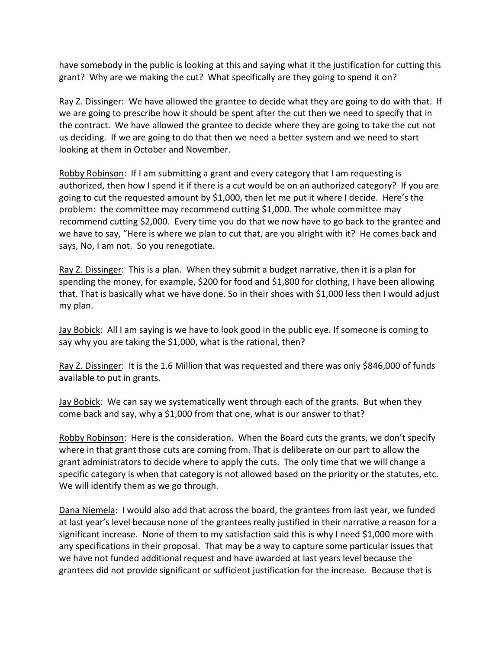have somebody in the public is looking at this and saying what it the justification for cutting this grant? Why are we making the cut? What specifically are they going to spend it on?

Ray Z. Dissinger: We have allowed the grantee to decide what they are going to do with that. If we are going to prescribe how it should be spent after the cut then we need to specify that in the contract. We have allowed the grantee to decide where they are going to take the cut not us deciding. If we are going to do that then we need a better system and we need to start looking at them in October and November.

Robby Robinson: If I am submitting a grant and every category that I am requesting is authorized, then how I spend it if there is a cut would be on an authorized category? If you are going to cut the requested amount by \$1,000, then let me put it where I decide. Here's the problem: the committee may recommend cutting \$1,000. The whole committee may recommend cutting \$2,000. Every time you do that we now have to go back to the grantee and we have to say, "Here is where we plan to cut that, are you alright with it? He comes back and says, No, I am not. So you renegotiate.

Ray Z. Dissinger: This is a plan. When they submit a budget narrative, then it is a plan for spending the money, for example, \$200 for food and \$1,800 for clothing, I have been allowing that. That is basically what we have done. So in their shoes with \$1,000 less then I would adjust my plan.

Jay Bobick: All I am saying is we have to look good in the public eye. If someone is coming to say why you are taking the \$1,000, what is the rational, then?

Ray Z. Dissinger: It is the 1.6 Million that was requested and there was only \$846,000 of funds available to put in grants.

Jay Bobick: We can say we systematically went through each of the grants. But when they come back and say, why a \$1,000 from that one, what is our answer to that?

Robby Robinson: Here is the consideration. When the Board cuts the grants, we don't specify where in that grant those cuts are coming from. That is deliberate on our part to allow the grant administrators to decide where to apply the cuts. The only time that we will change a specific category is when that category is not allowed based on the priority or the statutes, etc. We will identify them as we go through.

Dana Niemela: I would also add that across the board, the grantees from last year, we funded at last year's level because none of the grantees really justified in their narrative a reason for a significant increase. None of them to my satisfaction said this is why I need \$1,000 more with any specifications in their proposal. That may be a way to capture some particular issues that we have not funded additional request and have awarded at last years level because the grantees did not provide significant or sufficient justification for the increase. Because that is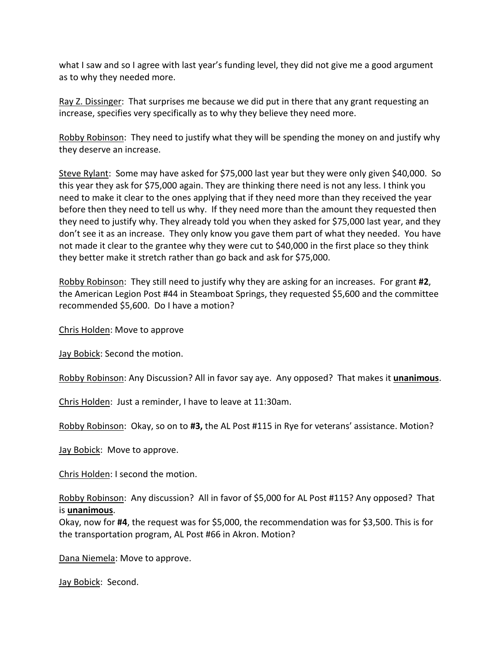what I saw and so I agree with last year's funding level, they did not give me a good argument as to why they needed more.

Ray Z. Dissinger: That surprises me because we did put in there that any grant requesting an increase, specifies very specifically as to why they believe they need more.

Robby Robinson: They need to justify what they will be spending the money on and justify why they deserve an increase.

Steve Rylant: Some may have asked for \$75,000 last year but they were only given \$40,000. So this year they ask for \$75,000 again. They are thinking there need is not any less. I think you need to make it clear to the ones applying that if they need more than they received the year before then they need to tell us why. If they need more than the amount they requested then they need to justify why. They already told you when they asked for \$75,000 last year, and they don't see it as an increase. They only know you gave them part of what they needed. You have not made it clear to the grantee why they were cut to \$40,000 in the first place so they think they better make it stretch rather than go back and ask for \$75,000.

Robby Robinson: They still need to justify why they are asking for an increases. For grant **#2**, the American Legion Post #44 in Steamboat Springs, they requested \$5,600 and the committee recommended \$5,600. Do I have a motion?

Chris Holden: Move to approve

Jay Bobick: Second the motion.

Robby Robinson: Any Discussion? All in favor say aye. Any opposed? That makes it **unanimous**.

Chris Holden: Just a reminder, I have to leave at 11:30am.

Robby Robinson: Okay, so on to **#3,** the AL Post #115 in Rye for veterans' assistance. Motion?

Jay Bobick: Move to approve.

Chris Holden: I second the motion.

Robby Robinson: Any discussion? All in favor of \$5,000 for AL Post #115? Any opposed? That is **unanimous**.

Okay, now for **#4**, the request was for \$5,000, the recommendation was for \$3,500. This is for the transportation program, AL Post #66 in Akron. Motion?

Dana Niemela: Move to approve.

Jay Bobick: Second.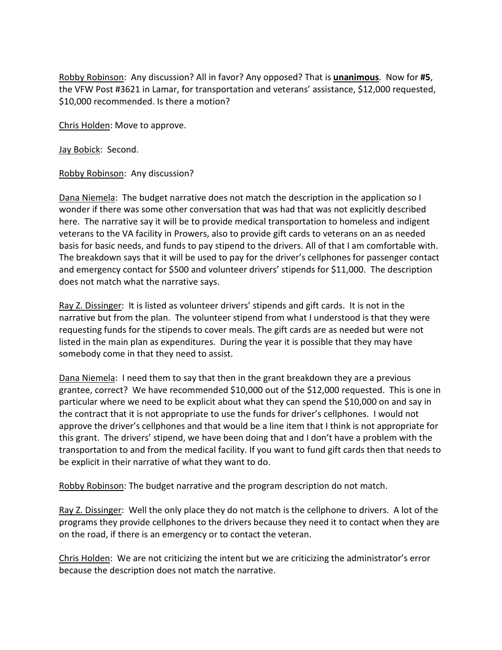Robby Robinson: Any discussion? All in favor? Any opposed? That is **unanimous**. Now for **#5**, the VFW Post #3621 in Lamar, for transportation and veterans' assistance, \$12,000 requested, \$10,000 recommended. Is there a motion?

Chris Holden: Move to approve.

Jay Bobick: Second.

Robby Robinson: Any discussion?

Dana Niemela: The budget narrative does not match the description in the application so I wonder if there was some other conversation that was had that was not explicitly described here. The narrative say it will be to provide medical transportation to homeless and indigent veterans to the VA facility in Prowers, also to provide gift cards to veterans on an as needed basis for basic needs, and funds to pay stipend to the drivers. All of that I am comfortable with. The breakdown says that it will be used to pay for the driver's cellphones for passenger contact and emergency contact for \$500 and volunteer drivers' stipends for \$11,000. The description does not match what the narrative says.

Ray Z. Dissinger: It is listed as volunteer drivers' stipends and gift cards. It is not in the narrative but from the plan. The volunteer stipend from what I understood is that they were requesting funds for the stipends to cover meals. The gift cards are as needed but were not listed in the main plan as expenditures. During the year it is possible that they may have somebody come in that they need to assist.

Dana Niemela: I need them to say that then in the grant breakdown they are a previous grantee, correct? We have recommended \$10,000 out of the \$12,000 requested. This is one in particular where we need to be explicit about what they can spend the \$10,000 on and say in the contract that it is not appropriate to use the funds for driver's cellphones. I would not approve the driver's cellphones and that would be a line item that I think is not appropriate for this grant. The drivers' stipend, we have been doing that and I don't have a problem with the transportation to and from the medical facility. If you want to fund gift cards then that needs to be explicit in their narrative of what they want to do.

Robby Robinson: The budget narrative and the program description do not match.

Ray Z. Dissinger: Well the only place they do not match is the cellphone to drivers. A lot of the programs they provide cellphones to the drivers because they need it to contact when they are on the road, if there is an emergency or to contact the veteran.

Chris Holden: We are not criticizing the intent but we are criticizing the administrator's error because the description does not match the narrative.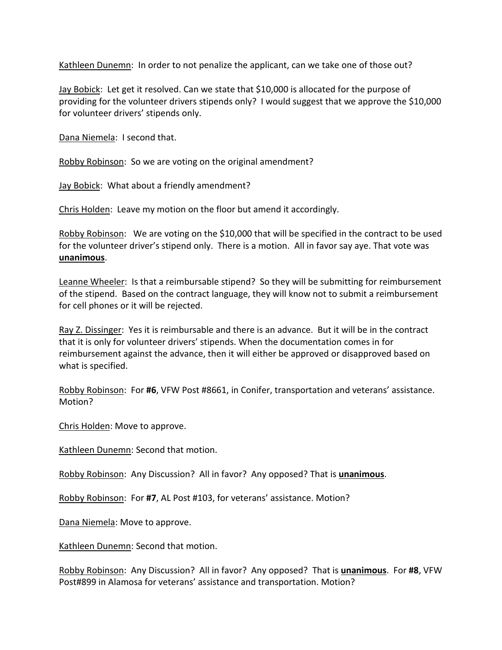Kathleen Dunemn: In order to not penalize the applicant, can we take one of those out?

Jay Bobick: Let get it resolved. Can we state that \$10,000 is allocated for the purpose of providing for the volunteer drivers stipends only? I would suggest that we approve the \$10,000 for volunteer drivers' stipends only.

Dana Niemela: I second that.

Robby Robinson: So we are voting on the original amendment?

Jay Bobick: What about a friendly amendment?

Chris Holden: Leave my motion on the floor but amend it accordingly.

Robby Robinson: We are voting on the \$10,000 that will be specified in the contract to be used for the volunteer driver's stipend only. There is a motion. All in favor say aye. That vote was **unanimous**.

Leanne Wheeler: Is that a reimbursable stipend? So they will be submitting for reimbursement of the stipend. Based on the contract language, they will know not to submit a reimbursement for cell phones or it will be rejected.

Ray Z. Dissinger: Yes it is reimbursable and there is an advance. But it will be in the contract that it is only for volunteer drivers' stipends. When the documentation comes in for reimbursement against the advance, then it will either be approved or disapproved based on what is specified.

Robby Robinson: For **#6**, VFW Post #8661, in Conifer, transportation and veterans' assistance. Motion?

Chris Holden: Move to approve.

Kathleen Dunemn: Second that motion.

Robby Robinson: Any Discussion? All in favor? Any opposed? That is **unanimous**.

Robby Robinson: For **#7**, AL Post #103, for veterans' assistance. Motion?

Dana Niemela: Move to approve.

Kathleen Dunemn: Second that motion.

Robby Robinson: Any Discussion? All in favor? Any opposed? That is **unanimous**. For **#8**, VFW Post#899 in Alamosa for veterans' assistance and transportation. Motion?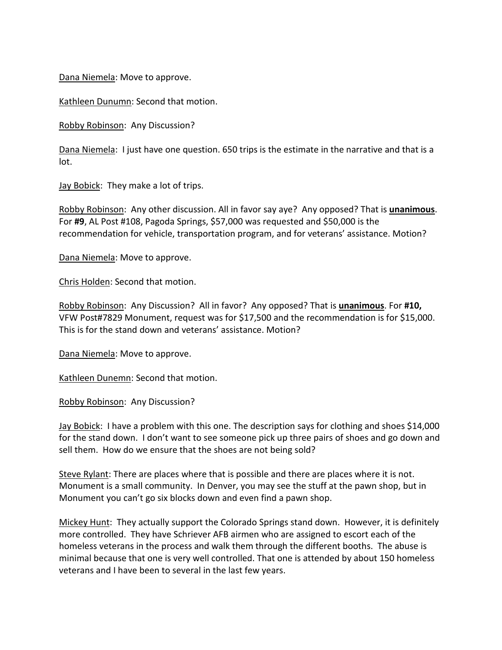Dana Niemela: Move to approve.

Kathleen Dunumn: Second that motion.

Robby Robinson: Any Discussion?

Dana Niemela: I just have one question. 650 trips is the estimate in the narrative and that is a lot.

Jay Bobick: They make a lot of trips.

Robby Robinson: Any other discussion. All in favor say aye? Any opposed? That is **unanimous**. For **#9**, AL Post #108, Pagoda Springs, \$57,000 was requested and \$50,000 is the recommendation for vehicle, transportation program, and for veterans' assistance. Motion?

Dana Niemela: Move to approve.

Chris Holden: Second that motion.

Robby Robinson: Any Discussion? All in favor? Any opposed? That is **unanimous**. For **#10,**  VFW Post#7829 Monument, request was for \$17,500 and the recommendation is for \$15,000. This is for the stand down and veterans' assistance. Motion?

Dana Niemela: Move to approve.

Kathleen Dunemn: Second that motion.

Robby Robinson: Any Discussion?

Jay Bobick: I have a problem with this one. The description says for clothing and shoes \$14,000 for the stand down. I don't want to see someone pick up three pairs of shoes and go down and sell them. How do we ensure that the shoes are not being sold?

Steve Rylant: There are places where that is possible and there are places where it is not. Monument is a small community. In Denver, you may see the stuff at the pawn shop, but in Monument you can't go six blocks down and even find a pawn shop.

Mickey Hunt: They actually support the Colorado Springs stand down. However, it is definitely more controlled. They have Schriever AFB airmen who are assigned to escort each of the homeless veterans in the process and walk them through the different booths. The abuse is minimal because that one is very well controlled. That one is attended by about 150 homeless veterans and I have been to several in the last few years.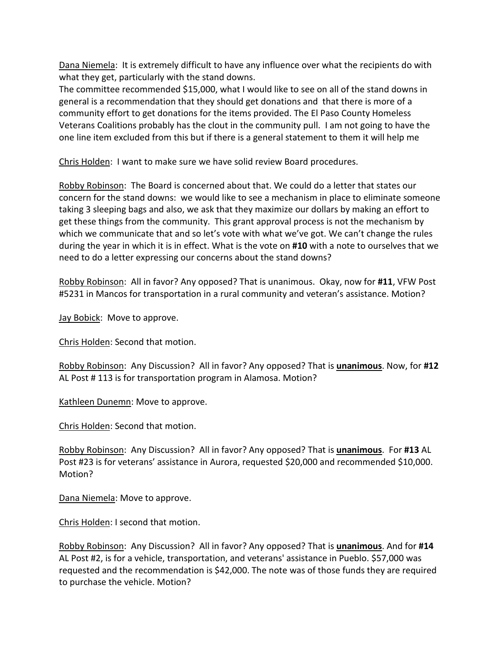Dana Niemela: It is extremely difficult to have any influence over what the recipients do with what they get, particularly with the stand downs.

The committee recommended \$15,000, what I would like to see on all of the stand downs in general is a recommendation that they should get donations and that there is more of a community effort to get donations for the items provided. The El Paso County Homeless Veterans Coalitions probably has the clout in the community pull. I am not going to have the one line item excluded from this but if there is a general statement to them it will help me

Chris Holden: I want to make sure we have solid review Board procedures.

Robby Robinson: The Board is concerned about that. We could do a letter that states our concern for the stand downs: we would like to see a mechanism in place to eliminate someone taking 3 sleeping bags and also, we ask that they maximize our dollars by making an effort to get these things from the community. This grant approval process is not the mechanism by which we communicate that and so let's vote with what we've got. We can't change the rules during the year in which it is in effect. What is the vote on **#10** with a note to ourselves that we need to do a letter expressing our concerns about the stand downs?

Robby Robinson: All in favor? Any opposed? That is unanimous. Okay, now for **#11**, VFW Post #5231 in Mancos for transportation in a rural community and veteran's assistance. Motion?

Jay Bobick: Move to approve.

Chris Holden: Second that motion.

Robby Robinson: Any Discussion? All in favor? Any opposed? That is **unanimous**. Now, for **#12** AL Post # 113 is for transportation program in Alamosa. Motion?

Kathleen Dunemn: Move to approve.

Chris Holden: Second that motion.

Robby Robinson: Any Discussion? All in favor? Any opposed? That is **unanimous**. For **#13** AL Post #23 is for veterans' assistance in Aurora, requested \$20,000 and recommended \$10,000. Motion?

Dana Niemela: Move to approve.

Chris Holden: I second that motion.

Robby Robinson: Any Discussion? All in favor? Any opposed? That is **unanimous**. And for **#14** AL Post #2, is for a vehicle, transportation, and veterans' assistance in Pueblo. \$57,000 was requested and the recommendation is \$42,000. The note was of those funds they are required to purchase the vehicle. Motion?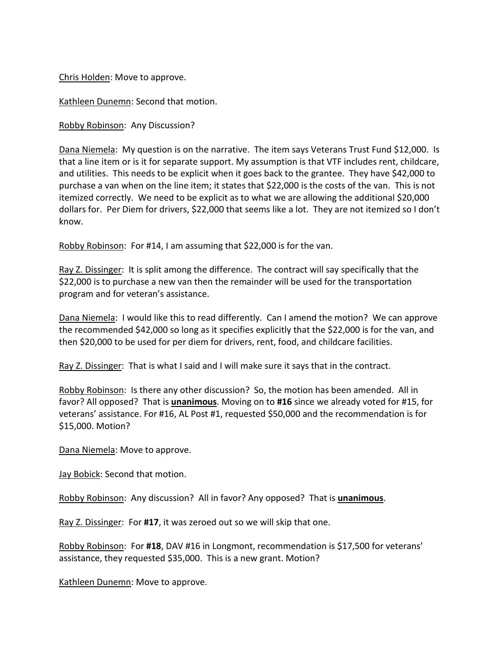Chris Holden: Move to approve.

Kathleen Dunemn: Second that motion.

Robby Robinson: Any Discussion?

Dana Niemela: My question is on the narrative. The item says Veterans Trust Fund \$12,000. Is that a line item or is it for separate support. My assumption is that VTF includes rent, childcare, and utilities. This needs to be explicit when it goes back to the grantee. They have \$42,000 to purchase a van when on the line item; it states that \$22,000 is the costs of the van. This is not itemized correctly. We need to be explicit as to what we are allowing the additional \$20,000 dollars for. Per Diem for drivers, \$22,000 that seems like a lot. They are not itemized so I don't know.

Robby Robinson: For #14, I am assuming that \$22,000 is for the van.

Ray Z. Dissinger: It is split among the difference. The contract will say specifically that the \$22,000 is to purchase a new van then the remainder will be used for the transportation program and for veteran's assistance.

Dana Niemela: I would like this to read differently. Can I amend the motion? We can approve the recommended \$42,000 so long as it specifies explicitly that the \$22,000 is for the van, and then \$20,000 to be used for per diem for drivers, rent, food, and childcare facilities.

Ray Z. Dissinger: That is what I said and I will make sure it says that in the contract.

Robby Robinson: Is there any other discussion? So, the motion has been amended. All in favor? All opposed? That is **unanimous**. Moving on to **#16** since we already voted for #15, for veterans' assistance. For #16, AL Post #1, requested \$50,000 and the recommendation is for \$15,000. Motion?

Dana Niemela: Move to approve.

Jay Bobick: Second that motion.

Robby Robinson: Any discussion? All in favor? Any opposed? That is **unanimous**.

Ray Z. Dissinger: For **#17**, it was zeroed out so we will skip that one.

Robby Robinson: For **#18**, DAV #16 in Longmont, recommendation is \$17,500 for veterans' assistance, they requested \$35,000. This is a new grant. Motion?

Kathleen Dunemn: Move to approve.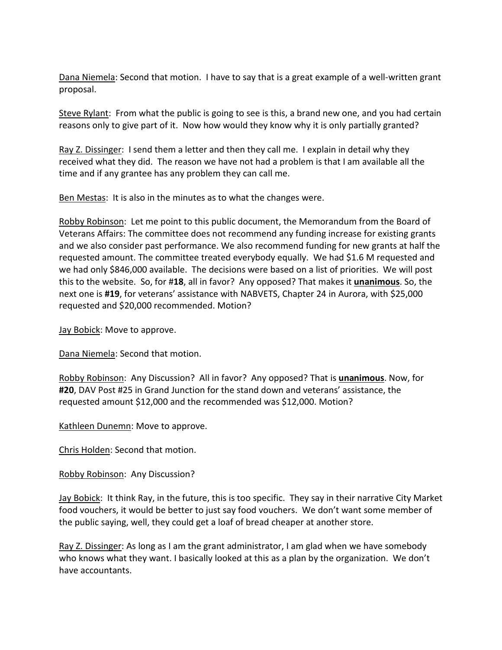Dana Niemela: Second that motion. I have to say that is a great example of a well-written grant proposal.

Steve Rylant: From what the public is going to see is this, a brand new one, and you had certain reasons only to give part of it. Now how would they know why it is only partially granted?

Ray Z. Dissinger: I send them a letter and then they call me. I explain in detail why they received what they did. The reason we have not had a problem is that I am available all the time and if any grantee has any problem they can call me.

Ben Mestas: It is also in the minutes as to what the changes were.

Robby Robinson: Let me point to this public document, the Memorandum from the Board of Veterans Affairs: The committee does not recommend any funding increase for existing grants and we also consider past performance. We also recommend funding for new grants at half the requested amount. The committee treated everybody equally. We had \$1.6 M requested and we had only \$846,000 available. The decisions were based on a list of priorities. We will post this to the website. So, for #**18**, all in favor? Any opposed? That makes it **unanimous**. So, the next one is **#19**, for veterans' assistance with NABVETS, Chapter 24 in Aurora, with \$25,000 requested and \$20,000 recommended. Motion?

Jay Bobick: Move to approve.

Dana Niemela: Second that motion.

Robby Robinson: Any Discussion? All in favor? Any opposed? That is **unanimous**. Now, for **#20**, DAV Post #25 in Grand Junction for the stand down and veterans' assistance, the requested amount \$12,000 and the recommended was \$12,000. Motion?

Kathleen Dunemn: Move to approve.

Chris Holden: Second that motion.

Robby Robinson: Any Discussion?

Jay Bobick: It think Ray, in the future, this is too specific. They say in their narrative City Market food vouchers, it would be better to just say food vouchers. We don't want some member of the public saying, well, they could get a loaf of bread cheaper at another store.

Ray Z. Dissinger: As long as I am the grant administrator, I am glad when we have somebody who knows what they want. I basically looked at this as a plan by the organization. We don't have accountants.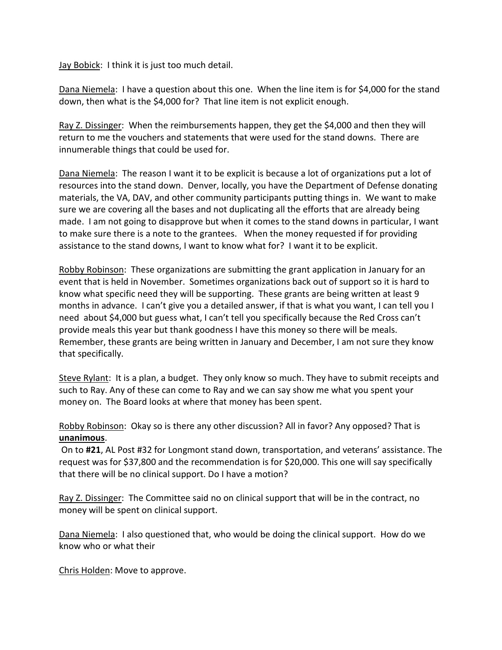Jay Bobick: I think it is just too much detail.

Dana Niemela: I have a question about this one. When the line item is for \$4,000 for the stand down, then what is the \$4,000 for? That line item is not explicit enough.

Ray Z. Dissinger: When the reimbursements happen, they get the \$4,000 and then they will return to me the vouchers and statements that were used for the stand downs. There are innumerable things that could be used for.

Dana Niemela: The reason I want it to be explicit is because a lot of organizations put a lot of resources into the stand down. Denver, locally, you have the Department of Defense donating materials, the VA, DAV, and other community participants putting things in. We want to make sure we are covering all the bases and not duplicating all the efforts that are already being made. I am not going to disapprove but when it comes to the stand downs in particular, I want to make sure there is a note to the grantees. When the money requested if for providing assistance to the stand downs, I want to know what for? I want it to be explicit.

Robby Robinson: These organizations are submitting the grant application in January for an event that is held in November. Sometimes organizations back out of support so it is hard to know what specific need they will be supporting. These grants are being written at least 9 months in advance. I can't give you a detailed answer, if that is what you want, I can tell you I need about \$4,000 but guess what, I can't tell you specifically because the Red Cross can't provide meals this year but thank goodness I have this money so there will be meals. Remember, these grants are being written in January and December, I am not sure they know that specifically.

Steve Rylant: It is a plan, a budget. They only know so much. They have to submit receipts and such to Ray. Any of these can come to Ray and we can say show me what you spent your money on. The Board looks at where that money has been spent.

Robby Robinson: Okay so is there any other discussion? All in favor? Any opposed? That is **unanimous**.

On to **#21**, AL Post #32 for Longmont stand down, transportation, and veterans' assistance. The request was for \$37,800 and the recommendation is for \$20,000. This one will say specifically that there will be no clinical support. Do I have a motion?

Ray Z. Dissinger: The Committee said no on clinical support that will be in the contract, no money will be spent on clinical support.

Dana Niemela: I also questioned that, who would be doing the clinical support. How do we know who or what their

Chris Holden: Move to approve.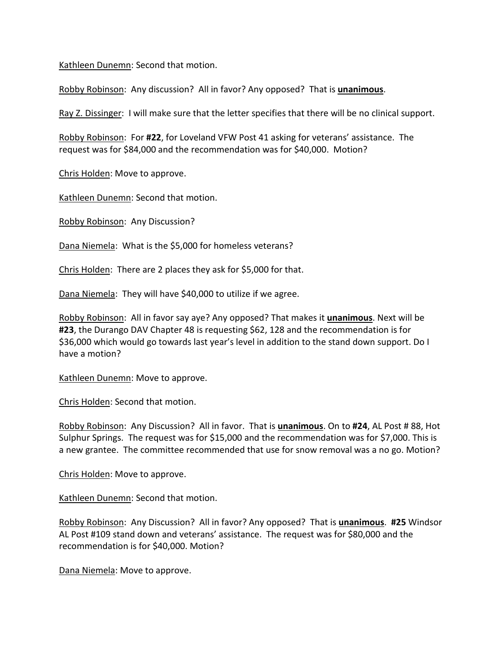Kathleen Dunemn: Second that motion.

Robby Robinson: Any discussion? All in favor? Any opposed? That is **unanimous**.

Ray Z. Dissinger: I will make sure that the letter specifies that there will be no clinical support.

Robby Robinson: For **#22**, for Loveland VFW Post 41 asking for veterans' assistance. The request was for \$84,000 and the recommendation was for \$40,000. Motion?

Chris Holden: Move to approve.

Kathleen Dunemn: Second that motion.

Robby Robinson: Any Discussion?

Dana Niemela: What is the \$5,000 for homeless veterans?

Chris Holden: There are 2 places they ask for \$5,000 for that.

Dana Niemela: They will have \$40,000 to utilize if we agree.

Robby Robinson: All in favor say aye? Any opposed? That makes it **unanimous**. Next will be **#23**, the Durango DAV Chapter 48 is requesting \$62, 128 and the recommendation is for \$36,000 which would go towards last year's level in addition to the stand down support. Do I have a motion?

Kathleen Dunemn: Move to approve.

Chris Holden: Second that motion.

Robby Robinson: Any Discussion? All in favor. That is **unanimous**. On to **#24**, AL Post # 88, Hot Sulphur Springs. The request was for \$15,000 and the recommendation was for \$7,000. This is a new grantee. The committee recommended that use for snow removal was a no go. Motion?

Chris Holden: Move to approve.

Kathleen Dunemn: Second that motion.

Robby Robinson: Any Discussion? All in favor? Any opposed? That is **unanimous**. **#25** Windsor AL Post #109 stand down and veterans' assistance. The request was for \$80,000 and the recommendation is for \$40,000. Motion?

Dana Niemela: Move to approve.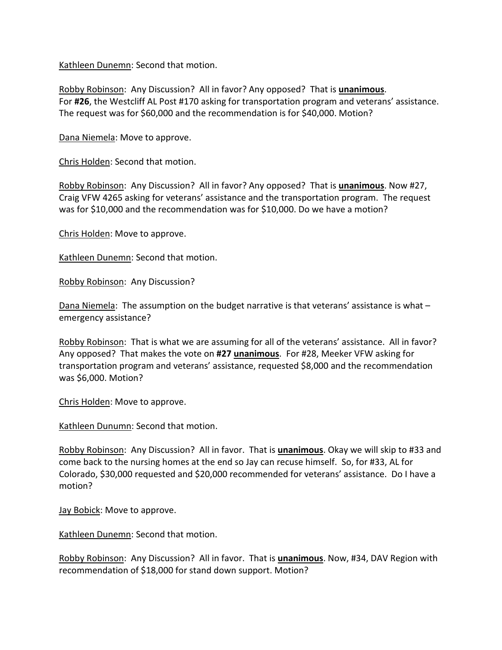Kathleen Dunemn: Second that motion.

Robby Robinson: Any Discussion? All in favor? Any opposed? That is **unanimous**. For **#26**, the Westcliff AL Post #170 asking for transportation program and veterans' assistance. The request was for \$60,000 and the recommendation is for \$40,000. Motion?

Dana Niemela: Move to approve.

Chris Holden: Second that motion.

Robby Robinson: Any Discussion? All in favor? Any opposed? That is **unanimous**. Now #27, Craig VFW 4265 asking for veterans' assistance and the transportation program. The request was for \$10,000 and the recommendation was for \$10,000. Do we have a motion?

Chris Holden: Move to approve.

Kathleen Dunemn: Second that motion.

Robby Robinson: Any Discussion?

Dana Niemela: The assumption on the budget narrative is that veterans' assistance is what emergency assistance?

Robby Robinson: That is what we are assuming for all of the veterans' assistance. All in favor? Any opposed? That makes the vote on **#27 unanimous**. For #28, Meeker VFW asking for transportation program and veterans' assistance, requested \$8,000 and the recommendation was \$6,000. Motion?

Chris Holden: Move to approve.

Kathleen Dunumn: Second that motion.

Robby Robinson: Any Discussion? All in favor. That is **unanimous**. Okay we will skip to #33 and come back to the nursing homes at the end so Jay can recuse himself. So, for #33, AL for Colorado, \$30,000 requested and \$20,000 recommended for veterans' assistance. Do I have a motion?

Jay Bobick: Move to approve.

Kathleen Dunemn: Second that motion.

Robby Robinson: Any Discussion? All in favor. That is **unanimous**. Now, #34, DAV Region with recommendation of \$18,000 for stand down support. Motion?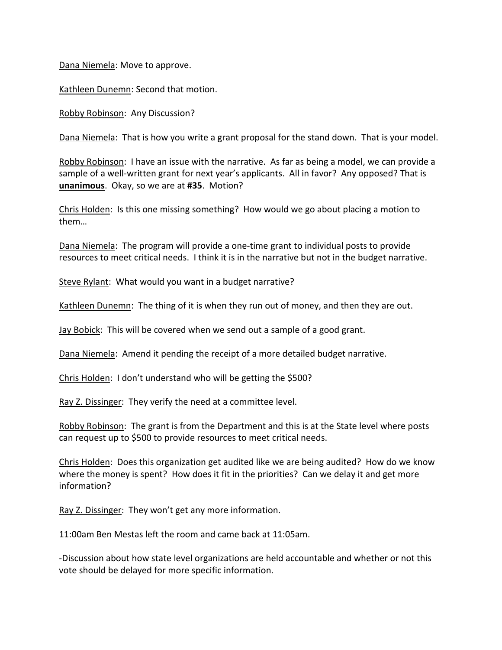Dana Niemela: Move to approve.

Kathleen Dunemn: Second that motion.

Robby Robinson: Any Discussion?

Dana Niemela: That is how you write a grant proposal for the stand down. That is your model.

Robby Robinson: I have an issue with the narrative. As far as being a model, we can provide a sample of a well-written grant for next year's applicants. All in favor? Any opposed? That is **unanimous**. Okay, so we are at **#35**. Motion?

Chris Holden: Is this one missing something? How would we go about placing a motion to them…

Dana Niemela: The program will provide a one-time grant to individual posts to provide resources to meet critical needs. I think it is in the narrative but not in the budget narrative.

Steve Rylant: What would you want in a budget narrative?

Kathleen Dunemn: The thing of it is when they run out of money, and then they are out.

Jay Bobick: This will be covered when we send out a sample of a good grant.

Dana Niemela: Amend it pending the receipt of a more detailed budget narrative.

Chris Holden: I don't understand who will be getting the \$500?

Ray Z. Dissinger: They verify the need at a committee level.

Robby Robinson: The grant is from the Department and this is at the State level where posts can request up to \$500 to provide resources to meet critical needs.

Chris Holden: Does this organization get audited like we are being audited? How do we know where the money is spent? How does it fit in the priorities? Can we delay it and get more information?

Ray Z. Dissinger: They won't get any more information.

11:00am Ben Mestas left the room and came back at 11:05am.

-Discussion about how state level organizations are held accountable and whether or not this vote should be delayed for more specific information.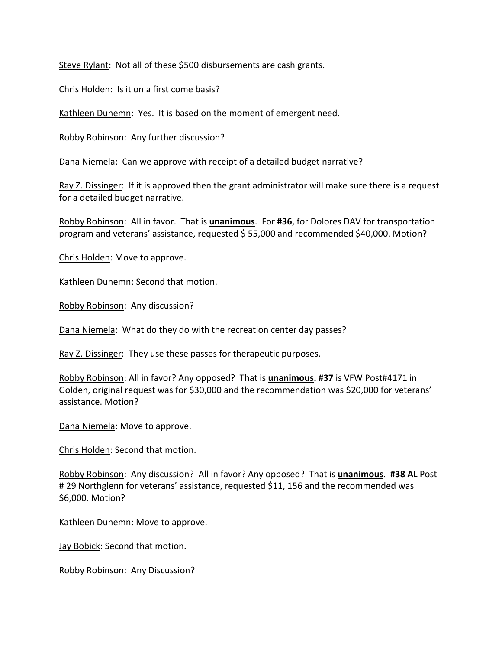Steve Rylant: Not all of these \$500 disbursements are cash grants.

Chris Holden: Is it on a first come basis?

Kathleen Dunemn: Yes. It is based on the moment of emergent need.

Robby Robinson: Any further discussion?

Dana Niemela: Can we approve with receipt of a detailed budget narrative?

Ray Z. Dissinger: If it is approved then the grant administrator will make sure there is a request for a detailed budget narrative.

Robby Robinson: All in favor. That is **unanimous**. For **#36**, for Dolores DAV for transportation program and veterans' assistance, requested \$ 55,000 and recommended \$40,000. Motion?

Chris Holden: Move to approve.

Kathleen Dunemn: Second that motion.

Robby Robinson: Any discussion?

Dana Niemela: What do they do with the recreation center day passes?

Ray Z. Dissinger: They use these passes for therapeutic purposes.

Robby Robinson: All in favor? Any opposed? That is **unanimous. #37** is VFW Post#4171 in Golden, original request was for \$30,000 and the recommendation was \$20,000 for veterans' assistance. Motion?

Dana Niemela: Move to approve.

Chris Holden: Second that motion.

Robby Robinson: Any discussion? All in favor? Any opposed? That is **unanimous**. **#38 AL** Post # 29 Northglenn for veterans' assistance, requested \$11, 156 and the recommended was \$6,000. Motion?

Kathleen Dunemn: Move to approve.

Jay Bobick: Second that motion.

Robby Robinson: Any Discussion?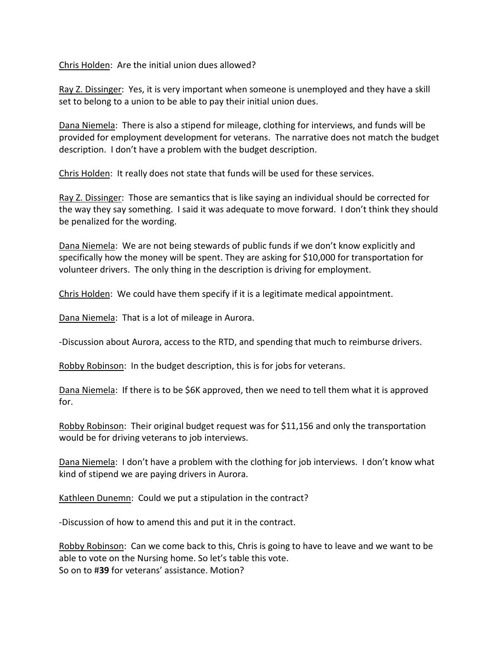Chris Holden: Are the initial union dues allowed?

Ray Z. Dissinger: Yes, it is very important when someone is unemployed and they have a skill set to belong to a union to be able to pay their initial union dues.

Dana Niemela: There is also a stipend for mileage, clothing for interviews, and funds will be provided for employment development for veterans. The narrative does not match the budget description. I don't have a problem with the budget description.

Chris Holden: It really does not state that funds will be used for these services.

Ray Z. Dissinger: Those are semantics that is like saying an individual should be corrected for the way they say something. I said it was adequate to move forward. I don't think they should be penalized for the wording.

Dana Niemela: We are not being stewards of public funds if we don't know explicitly and specifically how the money will be spent. They are asking for \$10,000 for transportation for volunteer drivers. The only thing in the description is driving for employment.

Chris Holden: We could have them specify if it is a legitimate medical appointment.

Dana Niemela: That is a lot of mileage in Aurora.

-Discussion about Aurora, access to the RTD, and spending that much to reimburse drivers.

Robby Robinson: In the budget description, this is for jobs for veterans.

Dana Niemela: If there is to be \$6K approved, then we need to tell them what it is approved for.

Robby Robinson: Their original budget request was for \$11,156 and only the transportation would be for driving veterans to job interviews.

Dana Niemela: I don't have a problem with the clothing for job interviews. I don't know what kind of stipend we are paying drivers in Aurora.

Kathleen Dunemn: Could we put a stipulation in the contract?

-Discussion of how to amend this and put it in the contract.

Robby Robinson: Can we come back to this, Chris is going to have to leave and we want to be able to vote on the Nursing home. So let's table this vote. So on to #**39** for veterans' assistance. Motion?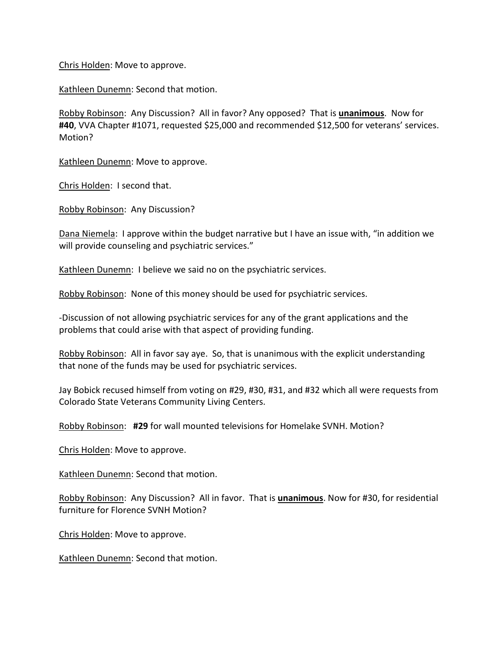Chris Holden: Move to approve.

Kathleen Dunemn: Second that motion.

Robby Robinson: Any Discussion? All in favor? Any opposed? That is **unanimous**. Now for **#40**, VVA Chapter #1071, requested \$25,000 and recommended \$12,500 for veterans' services. Motion?

Kathleen Dunemn: Move to approve.

Chris Holden: I second that.

Robby Robinson: Any Discussion?

Dana Niemela: I approve within the budget narrative but I have an issue with, "in addition we will provide counseling and psychiatric services."

Kathleen Dunemn: I believe we said no on the psychiatric services.

Robby Robinson: None of this money should be used for psychiatric services.

-Discussion of not allowing psychiatric services for any of the grant applications and the problems that could arise with that aspect of providing funding.

Robby Robinson: All in favor say aye. So, that is unanimous with the explicit understanding that none of the funds may be used for psychiatric services.

Jay Bobick recused himself from voting on #29, #30, #31, and #32 which all were requests from Colorado State Veterans Community Living Centers.

Robby Robinson: **#29** for wall mounted televisions for Homelake SVNH. Motion?

Chris Holden: Move to approve.

Kathleen Dunemn: Second that motion.

Robby Robinson: Any Discussion? All in favor. That is **unanimous**. Now for #30, for residential furniture for Florence SVNH Motion?

Chris Holden: Move to approve.

Kathleen Dunemn: Second that motion.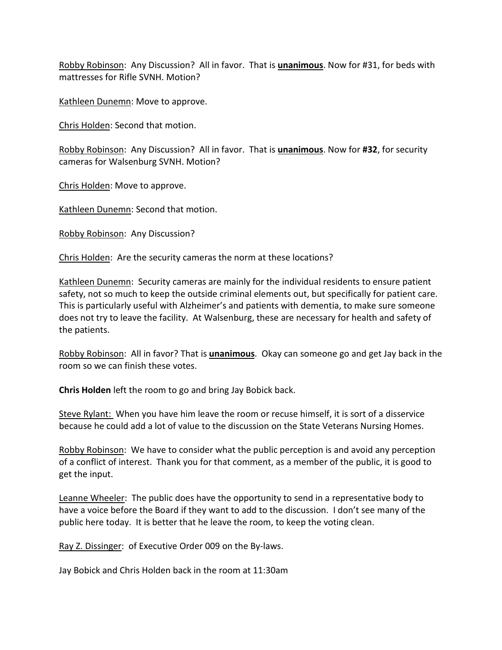Robby Robinson: Any Discussion? All in favor. That is **unanimous**. Now for #31, for beds with mattresses for Rifle SVNH. Motion?

Kathleen Dunemn: Move to approve.

Chris Holden: Second that motion.

Robby Robinson: Any Discussion? All in favor. That is **unanimous**. Now for **#32**, for security cameras for Walsenburg SVNH. Motion?

Chris Holden: Move to approve.

Kathleen Dunemn: Second that motion.

Robby Robinson: Any Discussion?

Chris Holden: Are the security cameras the norm at these locations?

Kathleen Dunemn: Security cameras are mainly for the individual residents to ensure patient safety, not so much to keep the outside criminal elements out, but specifically for patient care. This is particularly useful with Alzheimer's and patients with dementia, to make sure someone does not try to leave the facility. At Walsenburg, these are necessary for health and safety of the patients.

Robby Robinson: All in favor? That is **unanimous**. Okay can someone go and get Jay back in the room so we can finish these votes.

**Chris Holden** left the room to go and bring Jay Bobick back.

Steve Rylant: When you have him leave the room or recuse himself, it is sort of a disservice because he could add a lot of value to the discussion on the State Veterans Nursing Homes.

Robby Robinson: We have to consider what the public perception is and avoid any perception of a conflict of interest. Thank you for that comment, as a member of the public, it is good to get the input.

Leanne Wheeler: The public does have the opportunity to send in a representative body to have a voice before the Board if they want to add to the discussion. I don't see many of the public here today. It is better that he leave the room, to keep the voting clean.

Ray Z. Dissinger: of Executive Order 009 on the By-laws.

Jay Bobick and Chris Holden back in the room at 11:30am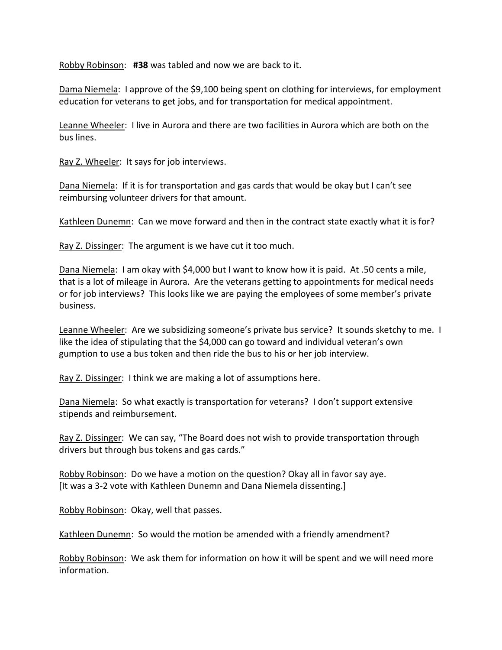Robby Robinson: **#38** was tabled and now we are back to it.

Dama Niemela: I approve of the \$9,100 being spent on clothing for interviews, for employment education for veterans to get jobs, and for transportation for medical appointment.

Leanne Wheeler: I live in Aurora and there are two facilities in Aurora which are both on the bus lines.

Ray Z. Wheeler: It says for job interviews.

Dana Niemela: If it is for transportation and gas cards that would be okay but I can't see reimbursing volunteer drivers for that amount.

Kathleen Dunemn: Can we move forward and then in the contract state exactly what it is for?

Ray Z. Dissinger: The argument is we have cut it too much.

Dana Niemela: I am okay with \$4,000 but I want to know how it is paid. At .50 cents a mile, that is a lot of mileage in Aurora. Are the veterans getting to appointments for medical needs or for job interviews? This looks like we are paying the employees of some member's private business.

Leanne Wheeler: Are we subsidizing someone's private bus service? It sounds sketchy to me. I like the idea of stipulating that the \$4,000 can go toward and individual veteran's own gumption to use a bus token and then ride the bus to his or her job interview.

Ray Z. Dissinger: I think we are making a lot of assumptions here.

Dana Niemela: So what exactly is transportation for veterans? I don't support extensive stipends and reimbursement.

Ray Z. Dissinger: We can say, "The Board does not wish to provide transportation through drivers but through bus tokens and gas cards."

Robby Robinson: Do we have a motion on the question? Okay all in favor say aye. [It was a 3-2 vote with Kathleen Dunemn and Dana Niemela dissenting.]

Robby Robinson: Okay, well that passes.

Kathleen Dunemn: So would the motion be amended with a friendly amendment?

Robby Robinson: We ask them for information on how it will be spent and we will need more information.